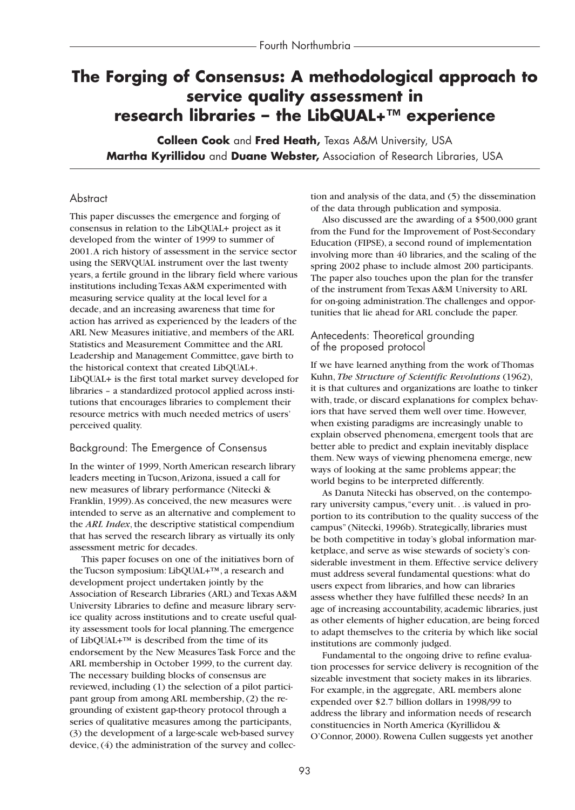# **The Forging of Consensus: A methodological approach to service quality assessment in research libraries – the LibQUAL+™ experience**

**Colleen Cook** and **Fred Heath,** Texas A&M University, USA **Martha Kyrillidou** and **Duane Webster,** Association of Research Libraries, USA

### **Abstract**

This paper discusses the emergence and forging of consensus in relation to the LibQUAL+ project as it developed from the winter of 1999 to summer of 2001.A rich history of assessment in the service sector using the SERVQUAL instrument over the last twenty years, a fertile ground in the library field where various institutions including Texas A&M experimented with measuring service quality at the local level for a decade, and an increasing awareness that time for action has arrived as experienced by the leaders of the ARL New Measures initiative, and members of the ARL Statistics and Measurement Committee and the ARL Leadership and Management Committee, gave birth to the historical context that created LibQUAL+. LibQUAL+ is the first total market survey developed for libraries – a standardized protocol applied across institutions that encourages libraries to complement their resource metrics with much needed metrics of users' perceived quality.

### Background: The Emergence of Consensus

In the winter of 1999, North American research library leaders meeting in Tucson,Arizona, issued a call for new measures of library performance (Nitecki & Franklin, 1999).As conceived, the new measures were intended to serve as an alternative and complement to the *ARL Index*, the descriptive statistical compendium that has served the research library as virtually its only assessment metric for decades.

This paper focuses on one of the initiatives born of the Tucson symposium: LibQUAL+™, a research and development project undertaken jointly by the Association of Research Libraries (ARL) and Texas A&M University Libraries to define and measure library service quality across institutions and to create useful quality assessment tools for local planning.The emergence of LibQUAL+ $^{TM}$  is described from the time of its endorsement by the New Measures Task Force and the ARL membership in October 1999, to the current day. The necessary building blocks of consensus are reviewed, including (1) the selection of a pilot participant group from among ARL membership, (2) the regrounding of existent gap-theory protocol through a series of qualitative measures among the participants, (3) the development of a large-scale web-based survey device, (4) the administration of the survey and collection and analysis of the data, and (5) the dissemination of the data through publication and symposia.

Also discussed are the awarding of a \$500,000 grant from the Fund for the Improvement of Post-Secondary Education (FIPSE), a second round of implementation involving more than 40 libraries, and the scaling of the spring 2002 phase to include almost 200 participants. The paper also touches upon the plan for the transfer of the instrument from Texas A&M University to ARL for on-going administration.The challenges and opportunities that lie ahead for ARL conclude the paper.

#### Antecedents: Theoretical grounding of the proposed protocol

If we have learned anything from the work of Thomas Kuhn, *The Structure of Scientific Revolutions* (1962), it is that cultures and organizations are loathe to tinker with, trade, or discard explanations for complex behaviors that have served them well over time. However, when existing paradigms are increasingly unable to explain observed phenomena, emergent tools that are better able to predict and explain inevitably displace them. New ways of viewing phenomena emerge, new ways of looking at the same problems appear; the world begins to be interpreted differently.

As Danuta Nitecki has observed, on the contemporary university campus,"every unit. . .is valued in proportion to its contribution to the quality success of the campus" (Nitecki, 1996b). Strategically, libraries must be both competitive in today's global information marketplace, and serve as wise stewards of society's considerable investment in them. Effective service delivery must address several fundamental questions: what do users expect from libraries, and how can libraries assess whether they have fulfilled these needs? In an age of increasing accountability, academic libraries, just as other elements of higher education, are being forced to adapt themselves to the criteria by which like social institutions are commonly judged.

Fundamental to the ongoing drive to refine evaluation processes for service delivery is recognition of the sizeable investment that society makes in its libraries. For example, in the aggregate, ARL members alone expended over \$2.7 billion dollars in 1998/99 to address the library and information needs of research constituencies in North America (Kyrillidou & O'Connor, 2000). Rowena Cullen suggests yet another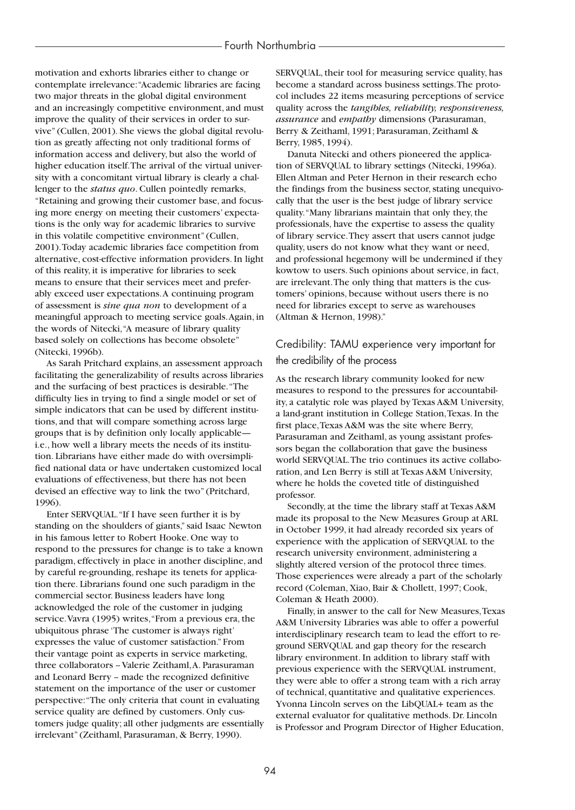motivation and exhorts libraries either to change or contemplate irrelevance:"Academic libraries are facing two major threats in the global digital environment and an increasingly competitive environment, and must improve the quality of their services in order to survive" (Cullen, 2001). She views the global digital revolution as greatly affecting not only traditional forms of information access and delivery, but also the world of higher education itself.The arrival of the virtual university with a concomitant virtual library is clearly a challenger to the *status quo*. Cullen pointedly remarks, "Retaining and growing their customer base, and focusing more energy on meeting their customers' expectations is the only way for academic libraries to survive in this volatile competitive environment" (Cullen, 2001).Today academic libraries face competition from alternative, cost-effective information providers. In light of this reality, it is imperative for libraries to seek means to ensure that their services meet and preferably exceed user expectations.A continuing program of assessment is *sine qua non* to development of a meaningful approach to meeting service goals.Again, in the words of Nitecki,"A measure of library quality based solely on collections has become obsolete" (Nitecki, 1996b).

As Sarah Pritchard explains, an assessment approach facilitating the generalizability of results across libraries and the surfacing of best practices is desirable."The difficulty lies in trying to find a single model or set of simple indicators that can be used by different institutions, and that will compare something across large groups that is by definition only locally applicable i.e., how well a library meets the needs of its institution. Librarians have either made do with oversimplified national data or have undertaken customized local evaluations of effectiveness, but there has not been devised an effective way to link the two" (Pritchard, 1996).

Enter SERVQUAL."If I have seen further it is by standing on the shoulders of giants," said Isaac Newton in his famous letter to Robert Hooke. One way to respond to the pressures for change is to take a known paradigm, effectively in place in another discipline, and by careful re-grounding, reshape its tenets for application there. Librarians found one such paradigm in the commercial sector. Business leaders have long acknowledged the role of the customer in judging service.Vavra (1995) writes,"From a previous era, the ubiquitous phrase 'The customer is always right' expresses the value of customer satisfaction." From their vantage point as experts in service marketing, three collaborators -- Valerie Zeithaml, A. Parasuraman and Leonard Berry -- made the recognized definitive statement on the importance of the user or customer perspective:"The only criteria that count in evaluating service quality are defined by customers. Only customers judge quality; all other judgments are essentially irrelevant" (Zeithaml, Parasuraman, & Berry, 1990).

SERVQUAL, their tool for measuring service quality, has become a standard across business settings.The protocol includes 22 items measuring perceptions of service quality across the *tangibles, reliability, responsiveness, assurance* and *empathy* dimensions (Parasuraman, Berry & Zeithaml, 1991; Parasuraman, Zeithaml & Berry, 1985, 1994).

Danuta Nitecki and others pioneered the application of SERVQUAL to library settings (Nitecki, 1996a). Ellen Altman and Peter Hernon in their research echo the findings from the business sector, stating unequivocally that the user is the best judge of library service quality."Many librarians maintain that only they, the professionals, have the expertise to assess the quality of library service.They assert that users cannot judge quality, users do not know what they want or need, and professional hegemony will be undermined if they kowtow to users. Such opinions about service, in fact, are irrelevant.The only thing that matters is the customers' opinions, because without users there is no need for libraries except to serve as warehouses (Altman & Hernon, 1998)."

## Credibility: TAMU experience very important for the credibility of the process

As the research library community looked for new measures to respond to the pressures for accountability, a catalytic role was played by Texas A&M University, a land-grant institution in College Station,Texas. In the first place,Texas A&M was the site where Berry, Parasuraman and Zeithaml, as young assistant professors began the collaboration that gave the business world SERVQUAL.The trio continues its active collaboration, and Len Berry is still at Texas A&M University, where he holds the coveted title of distinguished professor.

Secondly, at the time the library staff at Texas A&M made its proposal to the New Measures Group at ARL in October 1999, it had already recorded six years of experience with the application of SERVQUAL to the research university environment, administering a slightly altered version of the protocol three times. Those experiences were already a part of the scholarly record (Coleman, Xiao, Bair & Chollett, 1997; Cook, Coleman & Heath 2000).

Finally, in answer to the call for New Measures,Texas A&M University Libraries was able to offer a powerful interdisciplinary research team to lead the effort to reground SERVQUAL and gap theory for the research library environment. In addition to library staff with previous experience with the SERVQUAL instrument, they were able to offer a strong team with a rich array of technical, quantitative and qualitative experiences. Yvonna Lincoln serves on the LibQUAL+ team as the external evaluator for qualitative methods. Dr. Lincoln is Professor and Program Director of Higher Education,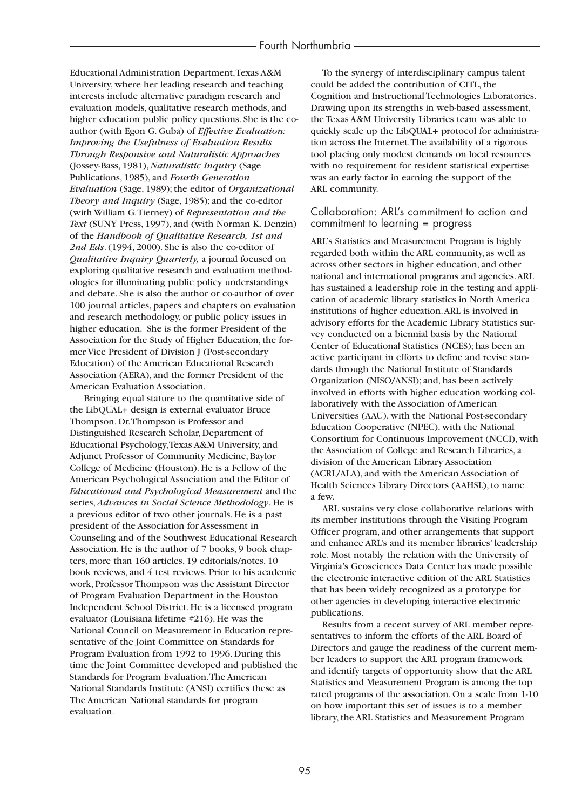Educational Administration Department,Texas A&M University, where her leading research and teaching interests include alternative paradigm research and evaluation models, qualitative research methods, and higher education public policy questions. She is the coauthor (with Egon G. Guba) of *Effective Evaluation: Improving the Usefulness of Evaluation Results Through Responsive and Naturalistic Approaches* (Jossey-Bass, 1981),*Naturalistic Inquiry* (Sage Publications, 1985), and *Fourth Generation Evaluation* (Sage, 1989); the editor of *Organizational Theory and Inquiry* (Sage, 1985); and the co-editor (with William G.Tierney) of *Representation and the Text* (SUNY Press, 1997), and (with Norman K. Denzin) of the *Handbook of Qualitative Research, 1st and 2nd Eds*. (1994, 2000). She is also the co-editor of *Qualitative Inquiry Quarterly,* a journal focused on exploring qualitative research and evaluation methodologies for illuminating public policy understandings and debate. She is also the author or co-author of over 100 journal articles, papers and chapters on evaluation and research methodology, or public policy issues in higher education. She is the former President of the Association for the Study of Higher Education, the former Vice President of Division J (Post-secondary Education) of the American Educational Research Association (AERA), and the former President of the American Evaluation Association.

Bringing equal stature to the quantitative side of the LibQUAL+ design is external evaluator Bruce Thompson. Dr.Thompson is Professor and Distinguished Research Scholar, Department of Educational Psychology,Texas A&M University, and Adjunct Professor of Community Medicine, Baylor College of Medicine (Houston). He is a Fellow of the American Psychological Association and the Editor of *Educational and Psychological Measurement* and the series, *Advances in Social Science Methodology*. He is a previous editor of two other journals. He is a past president of the Association for Assessment in Counseling and of the Southwest Educational Research Association. He is the author of 7 books, 9 book chapters, more than 160 articles, 19 editorials/notes, 10 book reviews, and 4 test reviews. Prior to his academic work, Professor Thompson was the Assistant Director of Program Evaluation Department in the Houston Independent School District. He is a licensed program evaluator (Louisiana lifetime #216). He was the National Council on Measurement in Education representative of the Joint Committee on Standards for Program Evaluation from 1992 to 1996. During this time the Joint Committee developed and published the Standards for Program Evaluation.The American National Standards Institute (ANSI) certifies these as The American National standards for program evaluation.

To the synergy of interdisciplinary campus talent could be added the contribution of CITL, the Cognition and Instructional Technologies Laboratories. Drawing upon its strengths in web-based assessment, the Texas A&M University Libraries team was able to quickly scale up the LibQUAL+ protocol for administration across the Internet.The availability of a rigorous tool placing only modest demands on local resources with no requirement for resident statistical expertise was an early factor in earning the support of the ARL community.

### Collaboration: ARL's commitment to action and commitment to learning = progress

ARL's Statistics and Measurement Program is highly regarded both within the ARL community, as well as across other sectors in higher education, and other national and international programs and agencies.ARL has sustained a leadership role in the testing and application of academic library statistics in North America institutions of higher education.ARL is involved in advisory efforts for the Academic Library Statistics survey conducted on a biennial basis by the National Center of Educational Statistics (NCES); has been an active participant in efforts to define and revise standards through the National Institute of Standards Organization (NISO/ANSI); and, has been actively involved in efforts with higher education working collaboratively with the Association of American Universities (AAU), with the National Post-secondary Education Cooperative (NPEC), with the National Consortium for Continuous Improvement (NCCI), with the Association of College and Research Libraries, a division of the American Library Association (ACRL/ALA), and with the American Association of Health Sciences Library Directors (AAHSL), to name a few.

ARL sustains very close collaborative relations with its member institutions through the Visiting Program Officer program, and other arrangements that support and enhance ARL's and its member libraries' leadership role. Most notably the relation with the University of Virginia's Geosciences Data Center has made possible the electronic interactive edition of the ARL Statistics that has been widely recognized as a prototype for other agencies in developing interactive electronic publications.

Results from a recent survey of ARL member representatives to inform the efforts of the ARL Board of Directors and gauge the readiness of the current member leaders to support the ARL program framework and identify targets of opportunity show that the ARL Statistics and Measurement Program is among the top rated programs of the association. On a scale from 1-10 on how important this set of issues is to a member library, the ARL Statistics and Measurement Program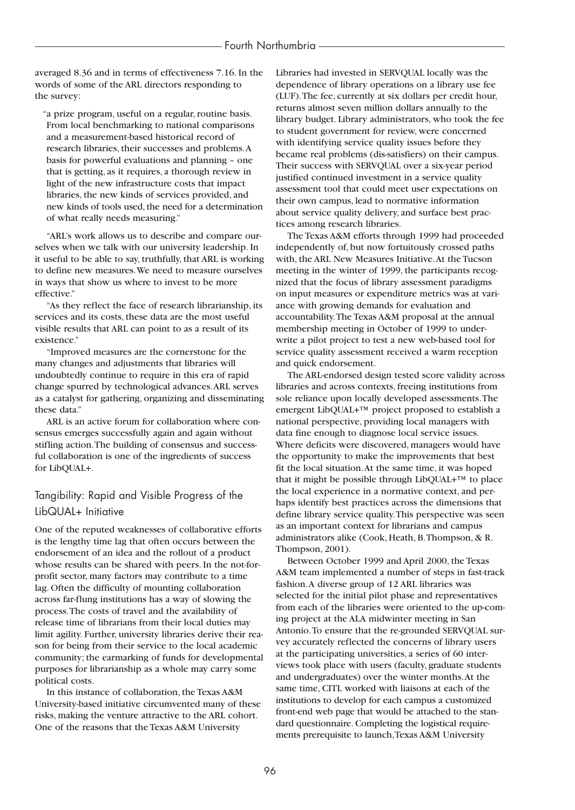averaged 8.36 and in terms of effectiveness 7.16. In the words of some of the ARL directors responding to the survey:

"a prize program, useful on a regular, routine basis. From local benchmarking to national comparisons and a measurement-based historical record of research libraries, their successes and problems.A basis for powerful evaluations and planning – one that is getting, as it requires, a thorough review in light of the new infrastructure costs that impact libraries, the new kinds of services provided, and new kinds of tools used, the need for a determination of what really needs measuring."

"ARL's work allows us to describe and compare ourselves when we talk with our university leadership. In it useful to be able to say, truthfully, that ARL is working to define new measures.We need to measure ourselves in ways that show us where to invest to be more effective."

"As they reflect the face of research librarianship, its services and its costs, these data are the most useful visible results that ARL can point to as a result of its existence."

"Improved measures are the cornerstone for the many changes and adjustments that libraries will undoubtedly continue to require in this era of rapid change spurred by technological advances.ARL serves as a catalyst for gathering, organizing and disseminating these data."

ARL is an active forum for collaboration where consensus emerges successfully again and again without stifling action.The building of consensus and successful collaboration is one of the ingredients of success for LibQUAL+.

# Tangibility: Rapid and Visible Progress of the LibQUAL+ Initiative

One of the reputed weaknesses of collaborative efforts is the lengthy time lag that often occurs between the endorsement of an idea and the rollout of a product whose results can be shared with peers. In the not-forprofit sector, many factors may contribute to a time lag. Often the difficulty of mounting collaboration across far-flung institutions has a way of slowing the process.The costs of travel and the availability of release time of librarians from their local duties may limit agility. Further, university libraries derive their reason for being from their service to the local academic community; the earmarking of funds for developmental purposes for librarianship as a whole may carry some political costs.

In this instance of collaboration, the Texas A&M University-based initiative circumvented many of these risks, making the venture attractive to the ARL cohort. One of the reasons that the Texas A&M University

Libraries had invested in SERVQUAL locally was the dependence of library operations on a library use fee (LUF).The fee, currently at six dollars per credit hour, returns almost seven million dollars annually to the library budget. Library administrators, who took the fee to student government for review, were concerned with identifying service quality issues before they became real problems (dis-satisfiers) on their campus. Their success with SERVQUAL over a six-year period justified continued investment in a service quality assessment tool that could meet user expectations on their own campus, lead to normative information about service quality delivery, and surface best practices among research libraries.

The Texas A&M efforts through 1999 had proceeded independently of, but now fortuitously crossed paths with, the ARL New Measures Initiative.At the Tucson meeting in the winter of 1999, the participants recognized that the focus of library assessment paradigms on input measures or expenditure metrics was at variance with growing demands for evaluation and accountability.The Texas A&M proposal at the annual membership meeting in October of 1999 to underwrite a pilot project to test a new web-based tool for service quality assessment received a warm reception and quick endorsement.

The ARL-endorsed design tested score validity across libraries and across contexts, freeing institutions from sole reliance upon locally developed assessments.The emergent LibQUAL+™ project proposed to establish a national perspective, providing local managers with data fine enough to diagnose local service issues. Where deficits were discovered, managers would have the opportunity to make the improvements that best fit the local situation.At the same time, it was hoped that it might be possible through LibQUAL+™ to place the local experience in a normative context, and perhaps identify best practices across the dimensions that define library service quality.This perspective was seen as an important context for librarians and campus administrators alike (Cook, Heath, B.Thompson, & R. Thompson, 2001).

Between October 1999 and April 2000, the Texas A&M team implemented a number of steps in fast-track fashion.A diverse group of 12 ARL libraries was selected for the initial pilot phase and representatives from each of the libraries were oriented to the up-coming project at the ALA midwinter meeting in San Antonio.To ensure that the re-grounded SERVQUAL survey accurately reflected the concerns of library users at the participating universities, a series of 60 interviews took place with users (faculty, graduate students and undergraduates) over the winter months.At the same time, CITL worked with liaisons at each of the institutions to develop for each campus a customized front-end web page that would be attached to the standard questionnaire. Completing the logistical requirements prerequisite to launch,Texas A&M University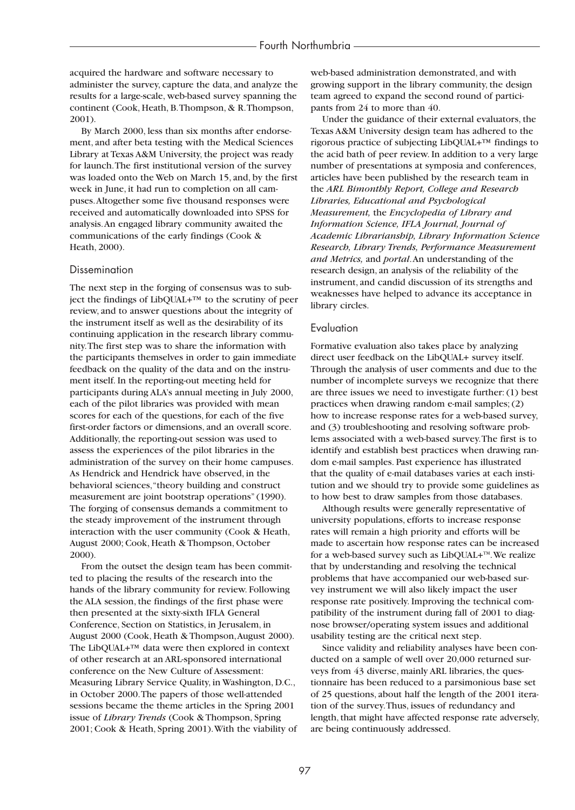acquired the hardware and software necessary to administer the survey, capture the data, and analyze the results for a large-scale, web-based survey spanning the continent (Cook, Heath, B.Thompson, & R.Thompson, 2001).

By March 2000, less than six months after endorsement, and after beta testing with the Medical Sciences Library at Texas A&M University, the project was ready for launch.The first institutional version of the survey was loaded onto the Web on March 15, and, by the first week in June, it had run to completion on all campuses.Altogether some five thousand responses were received and automatically downloaded into SPSS for analysis.An engaged library community awaited the communications of the early findings (Cook & Heath, 2000).

#### **Dissemination**

The next step in the forging of consensus was to subject the findings of LibQUAL+™ to the scrutiny of peer review, and to answer questions about the integrity of the instrument itself as well as the desirability of its continuing application in the research library community.The first step was to share the information with the participants themselves in order to gain immediate feedback on the quality of the data and on the instrument itself. In the reporting-out meeting held for participants during ALA's annual meeting in July 2000, each of the pilot libraries was provided with mean scores for each of the questions, for each of the five first-order factors or dimensions, and an overall score. Additionally, the reporting-out session was used to assess the experiences of the pilot libraries in the administration of the survey on their home campuses. As Hendrick and Hendrick have observed, in the behavioral sciences,"theory building and construct measurement are joint bootstrap operations" (1990). The forging of consensus demands a commitment to the steady improvement of the instrument through interaction with the user community (Cook & Heath, August 2000; Cook, Heath & Thompson, October 2000).

From the outset the design team has been committed to placing the results of the research into the hands of the library community for review. Following the ALA session, the findings of the first phase were then presented at the sixty-sixth IFLA General Conference, Section on Statistics, in Jerusalem, in August 2000 (Cook, Heath & Thompson,August 2000). The LibQUAL+™ data were then explored in context of other research at an ARL-sponsored international conference on the New Culture of Assessment: Measuring Library Service Quality, in Washington, D.C., in October 2000.The papers of those well-attended sessions became the theme articles in the Spring 2001 issue of *Library Trends* (Cook & Thompson, Spring 2001; Cook & Heath, Spring 2001).With the viability of web-based administration demonstrated, and with growing support in the library community, the design team agreed to expand the second round of participants from 24 to more than 40.

Under the guidance of their external evaluators, the Texas A&M University design team has adhered to the rigorous practice of subjecting LibQUAL+™ findings to the acid bath of peer review. In addition to a very large number of presentations at symposia and conferences, articles have been published by the research team in the *ARL Bimonthly Report, College and Research Libraries, Educational and Psychological Measurement,* the *Encyclopedia of Library and Information Science, IFLA Journal, Journal of Academic Librarianship, Library Information Science Research, Library Trends, Performance Measurement and Metrics,* and *portal*.An understanding of the research design, an analysis of the reliability of the instrument, and candid discussion of its strengths and weaknesses have helped to advance its acceptance in library circles.

#### Evaluation

Formative evaluation also takes place by analyzing direct user feedback on the LibQUAL+ survey itself. Through the analysis of user comments and due to the number of incomplete surveys we recognize that there are three issues we need to investigate further: (1) best practices when drawing random e-mail samples; (2) how to increase response rates for a web-based survey, and (3) troubleshooting and resolving software problems associated with a web-based survey.The first is to identify and establish best practices when drawing random e-mail samples. Past experience has illustrated that the quality of e-mail databases varies at each institution and we should try to provide some guidelines as to how best to draw samples from those databases.

Although results were generally representative of university populations, efforts to increase response rates will remain a high priority and efforts will be made to ascertain how response rates can be increased for a web-based survey such as LibQUAL+™. We realize that by understanding and resolving the technical problems that have accompanied our web-based survey instrument we will also likely impact the user response rate positively. Improving the technical compatibility of the instrument during fall of 2001 to diagnose browser/operating system issues and additional usability testing are the critical next step.

Since validity and reliability analyses have been conducted on a sample of well over 20,000 returned surveys from 43 diverse, mainly ARL libraries, the questionnaire has been reduced to a parsimonious base set of 25 questions, about half the length of the 2001 iteration of the survey.Thus, issues of redundancy and length, that might have affected response rate adversely, are being continuously addressed.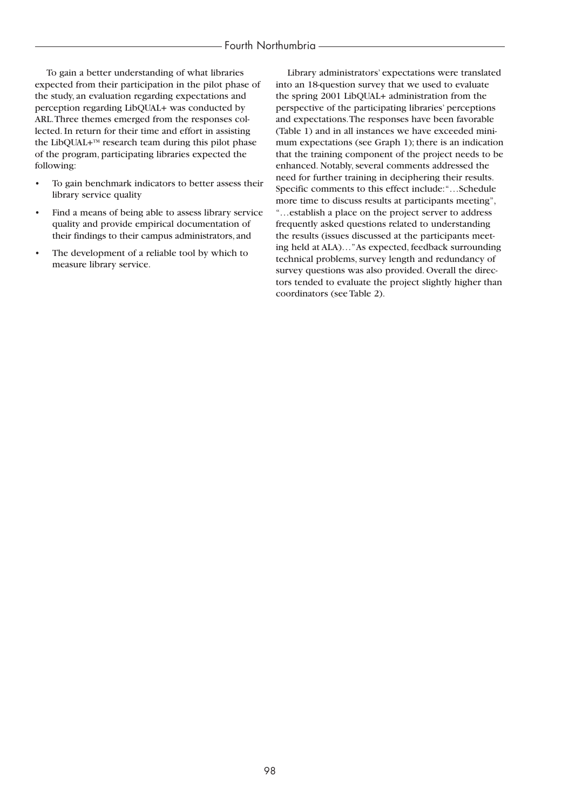To gain a better understanding of what libraries expected from their participation in the pilot phase of the study, an evaluation regarding expectations and perception regarding LibQUAL+ was conducted by ARL.Three themes emerged from the responses collected. In return for their time and effort in assisting the LibQUAL+ $T<sup>M</sup>$  research team during this pilot phase of the program, participating libraries expected the following:

- To gain benchmark indicators to better assess their library service quality
- Find a means of being able to assess library service quality and provide empirical documentation of their findings to their campus administrators, and
- The development of a reliable tool by which to measure library service.

Library administrators' expectations were translated into an 18-question survey that we used to evaluate the spring 2001 LibQUAL+ administration from the perspective of the participating libraries' perceptions and expectations.The responses have been favorable (Table 1) and in all instances we have exceeded minimum expectations (see Graph 1); there is an indication that the training component of the project needs to be enhanced. Notably, several comments addressed the need for further training in deciphering their results. Specific comments to this effect include:"…Schedule more time to discuss results at participants meeting", "…establish a place on the project server to address frequently asked questions related to understanding the results (issues discussed at the participants meeting held at ALA)…"As expected, feedback surrounding technical problems, survey length and redundancy of survey questions was also provided. Overall the directors tended to evaluate the project slightly higher than coordinators (see Table 2).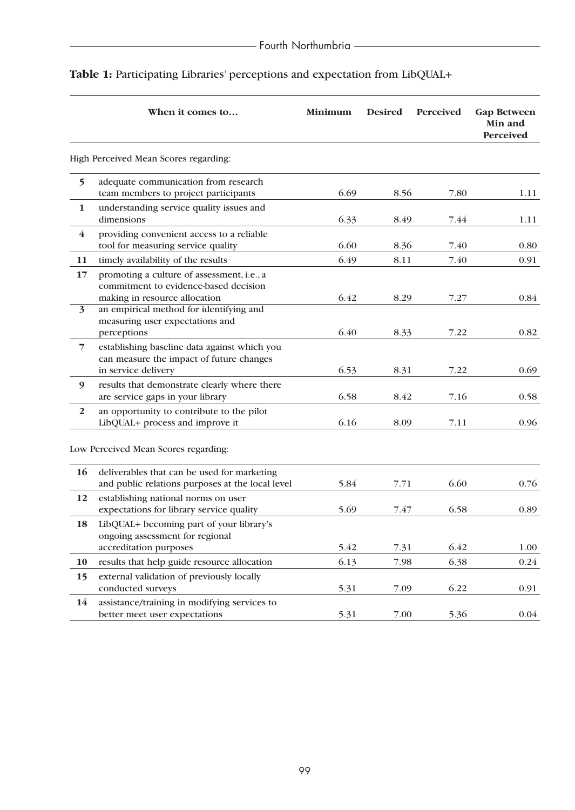|                         | When it comes to                                                                                                     | Minimum | <b>Desired</b> | Perceived | <b>Gap Between</b><br>Min and<br>Perceived |
|-------------------------|----------------------------------------------------------------------------------------------------------------------|---------|----------------|-----------|--------------------------------------------|
|                         | High Perceived Mean Scores regarding:                                                                                |         |                |           |                                            |
| $5\overline{)}$         | adequate communication from research<br>team members to project participants                                         | 6.69    | 8.56           | 7.80      | 1.11                                       |
| $\mathbf{1}$            | understanding service quality issues and<br>dimensions                                                               | 6.33    | 8.49           | 7.44      | 1.11                                       |
| $\bf{4}$                | providing convenient access to a reliable<br>tool for measuring service quality                                      | 6.60    | 8.36           | 7.40      | 0.80                                       |
| 11                      | timely availability of the results                                                                                   | 6.49    | 8.11           | 7.40      | 0.91                                       |
| 17                      | promoting a culture of assessment, i.e., a<br>commitment to evidence-based decision<br>making in resource allocation | 6.42    | 8.29           | 7.27      | 0.84                                       |
| $\overline{\mathbf{3}}$ | an empirical method for identifying and<br>measuring user expectations and<br>perceptions                            | 6.40    | 8.33           | 7.22      | 0.82                                       |
| $\overline{7}$          | establishing baseline data against which you<br>can measure the impact of future changes<br>in service delivery      | 6.53    | 8.31           | 7.22      | 0.69                                       |
| 9                       | results that demonstrate clearly where there<br>are service gaps in your library                                     | 6.58    | 8.42           | 7.16      | 0.58                                       |
| $\overline{2}$          | an opportunity to contribute to the pilot<br>LibQUAL+ process and improve it                                         | 6.16    | 8.09           | 7.11      | 0.96                                       |
|                         | Low Perceived Mean Scores regarding:                                                                                 |         |                |           |                                            |
| 16                      | deliverables that can be used for marketing<br>and public relations purposes at the local level                      | 5.84    | 7.71           | 6.60      | 0.76                                       |
| 12                      | establishing national norms on user<br>expectations for library service quality                                      | 5.69    | 7.47           | 6.58      | 0.89                                       |
| 18                      | LibQUAL+ becoming part of your library's<br>ongoing assessment for regional                                          |         |                |           |                                            |
|                         | accreditation purposes                                                                                               | 5.42    | 7.31           | 6.42      | 1.00                                       |
| 10                      | results that help guide resource allocation                                                                          | 6.13    | 7.98           | 6.38      | 0.24                                       |
| 15                      | external validation of previously locally<br>conducted surveys                                                       | 5.31    | 7.09           | 6.22      | 0.91                                       |
| 14                      | assistance/training in modifying services to<br>better meet user expectations                                        | 5.31    | 7.00           | 5.36      | 0.04                                       |
|                         |                                                                                                                      |         |                |           |                                            |

# Table 1: Participating Libraries' perceptions and expectation from LibQUAL+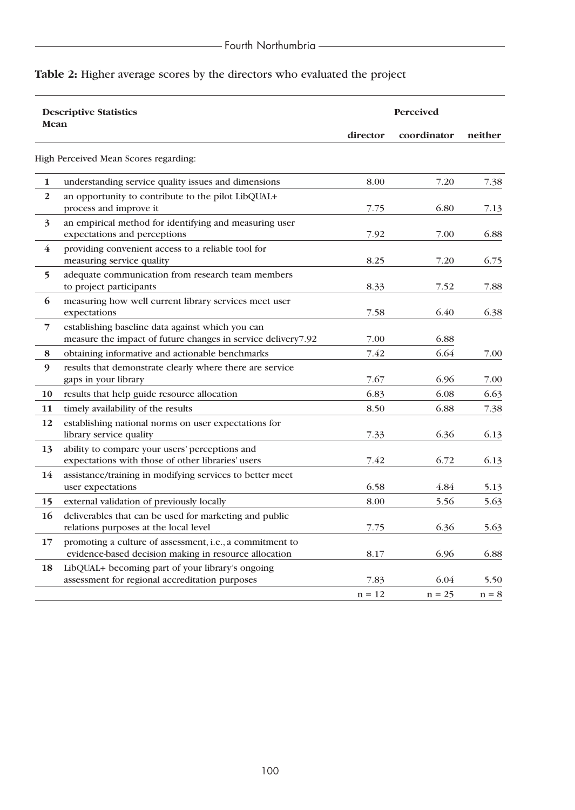# **Table 2:** Higher average scores by the directors who evaluated the project

| <b>Descriptive Statistics</b> |                                                                                                                   | <b>Perceived</b> |             |         |  |
|-------------------------------|-------------------------------------------------------------------------------------------------------------------|------------------|-------------|---------|--|
| Mean                          |                                                                                                                   | director         | coordinator | neither |  |
|                               | High Perceived Mean Scores regarding:                                                                             |                  |             |         |  |
| 1                             | understanding service quality issues and dimensions                                                               | 8.00             | 7.20        | 7.38    |  |
| $\boldsymbol{2}$              | an opportunity to contribute to the pilot LibQUAL+<br>process and improve it                                      | 7.75             | 6.80        | 7.13    |  |
| $\overline{\mathbf{3}}$       | an empirical method for identifying and measuring user<br>expectations and perceptions                            | 7.92             | 7.00        | 6.88    |  |
| $\bf{4}$                      | providing convenient access to a reliable tool for<br>measuring service quality                                   | 8.25             | 7.20        | 6.75    |  |
| 5                             | adequate communication from research team members<br>to project participants                                      | 8.33             | 7.52        | 7.88    |  |
| 6                             | measuring how well current library services meet user<br>expectations                                             | 7.58             | 6.40        | 6.38    |  |
| 7                             | establishing baseline data against which you can<br>measure the impact of future changes in service delivery7.92  | 7.00             | 6.88        |         |  |
| 8                             | obtaining informative and actionable benchmarks                                                                   | 7.42             | 6.64        | 7.00    |  |
| 9                             | results that demonstrate clearly where there are service<br>gaps in your library                                  | 7.67             | 6.96        | 7.00    |  |
| 10                            | results that help guide resource allocation                                                                       | 6.83             | 6.08        | 6.63    |  |
| 11                            | timely availability of the results                                                                                | 8.50             | 6.88        | 7.38    |  |
| 12                            | establishing national norms on user expectations for<br>library service quality                                   | 7.33             | 6.36        | 6.13    |  |
| 13                            | ability to compare your users' perceptions and<br>expectations with those of other libraries' users               | 7.42             | 6.72        | 6.13    |  |
| 14                            | assistance/training in modifying services to better meet<br>user expectations                                     | 6.58             | 4.84        | 5.13    |  |
| 15                            | external validation of previously locally                                                                         | 8.00             | 5.56        | 5.63    |  |
| 16                            | deliverables that can be used for marketing and public<br>relations purposes at the local level                   | 7.75             | 6.36        | 5.63    |  |
| 17                            | promoting a culture of assessment, i.e., a commitment to<br>evidence-based decision making in resource allocation | 8.17             | 6.96        | 6.88    |  |
| 18                            | LibQUAL+ becoming part of your library's ongoing<br>assessment for regional accreditation purposes                | 7.83             | 6.04        | 5.50    |  |
|                               |                                                                                                                   | $n = 12$         | $n = 25$    | $n = 8$ |  |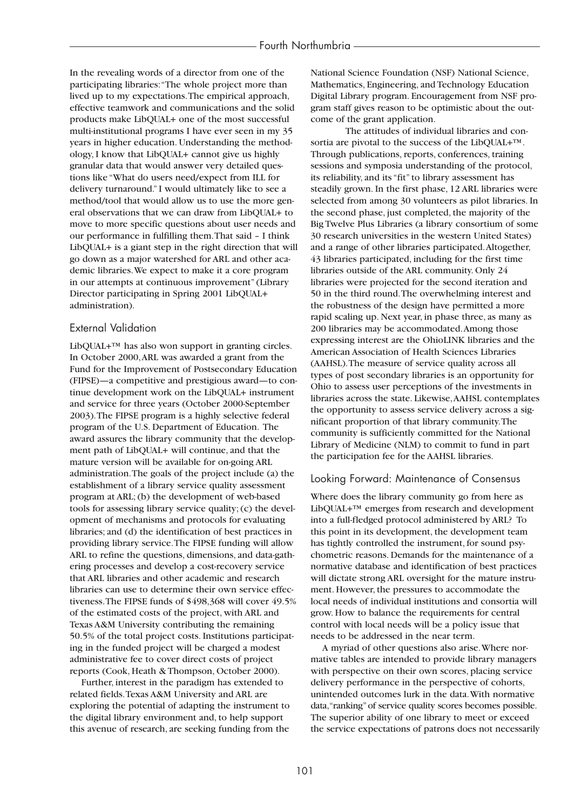In the revealing words of a director from one of the participating libraries:"The whole project more than lived up to my expectations.The empirical approach, effective teamwork and communications and the solid products make LibQUAL+ one of the most successful multi-institutional programs I have ever seen in my 35 years in higher education. Understanding the methodology, I know that LibQUAL+ cannot give us highly granular data that would answer very detailed questions like "What do users need/expect from ILL for delivery turnaround." I would ultimately like to see a method/tool that would allow us to use the more general observations that we can draw from LibQUAL+ to move to more specific questions about user needs and our performance in fulfilling them.That said – I think LibQUAL+ is a giant step in the right direction that will go down as a major watershed for ARL and other academic libraries.We expect to make it a core program in our attempts at continuous improvement" (Library Director participating in Spring 2001 LibQUAL+ administration).

### External Validation

LibQUAL+™ has also won support in granting circles. In October 2000,ARL was awarded a grant from the Fund for the Improvement of Postsecondary Education (FIPSE)—a competitive and prestigious award—to continue development work on the LibQUAL+ instrument and service for three years (October 2000-September 2003).The FIPSE program is a highly selective federal program of the U.S. Department of Education. The award assures the library community that the development path of LibQUAL+ will continue, and that the mature version will be available for on-going ARL administration.The goals of the project include (a) the establishment of a library service quality assessment program at ARL; (b) the development of web-based tools for assessing library service quality; (c) the development of mechanisms and protocols for evaluating libraries; and (d) the identification of best practices in providing library service.The FIPSE funding will allow ARL to refine the questions, dimensions, and data-gathering processes and develop a cost-recovery service that ARL libraries and other academic and research libraries can use to determine their own service effectiveness.The FIPSE funds of \$498,368 will cover 49.5% of the estimated costs of the project, with ARL and Texas A&M University contributing the remaining 50.5% of the total project costs. Institutions participating in the funded project will be charged a modest administrative fee to cover direct costs of project reports (Cook, Heath & Thompson, October 2000).

Further, interest in the paradigm has extended to related fields.Texas A&M University and ARL are exploring the potential of adapting the instrument to the digital library environment and, to help support this avenue of research, are seeking funding from the

National Science Foundation (NSF) National Science, Mathematics, Engineering, and Technology Education Digital Library program. Encouragement from NSF program staff gives reason to be optimistic about the outcome of the grant application.

The attitudes of individual libraries and consortia are pivotal to the success of the LibQUAL+™. Through publications, reports, conferences, training sessions and symposia understanding of the protocol, its reliability, and its "fit" to library assessment has steadily grown. In the first phase, 12 ARL libraries were selected from among 30 volunteers as pilot libraries. In the second phase, just completed, the majority of the Big Twelve Plus Libraries (a library consortium of some 30 research universities in the western United States) and a range of other libraries participated.Altogether, 43 libraries participated, including for the first time libraries outside of the ARL community. Only 24 libraries were projected for the second iteration and 50 in the third round.The overwhelming interest and the robustness of the design have permitted a more rapid scaling up. Next year, in phase three, as many as 200 libraries may be accommodated.Among those expressing interest are the OhioLINK libraries and the American Association of Health Sciences Libraries (AAHSL).The measure of service quality across all types of post secondary libraries is an opportunity for Ohio to assess user perceptions of the investments in libraries across the state. Likewise,AAHSL contemplates the opportunity to assess service delivery across a significant proportion of that library community.The community is sufficiently committed for the National Library of Medicine (NLM) to commit to fund in part the participation fee for the AAHSL libraries.

### Looking Forward: Maintenance of Consensus

Where does the library community go from here as LibQUAL+™ emerges from research and development into a full-fledged protocol administered by ARL? To this point in its development, the development team has tightly controlled the instrument, for sound psychometric reasons. Demands for the maintenance of a normative database and identification of best practices will dictate strong ARL oversight for the mature instrument. However, the pressures to accommodate the local needs of individual institutions and consortia will grow. How to balance the requirements for central control with local needs will be a policy issue that needs to be addressed in the near term.

A myriad of other questions also arise.Where normative tables are intended to provide library managers with perspective on their own scores, placing service delivery performance in the perspective of cohorts, unintended outcomes lurk in the data.With normative data,"ranking"of service quality scores becomes possible. The superior ability of one library to meet or exceed the service expectations of patrons does not necessarily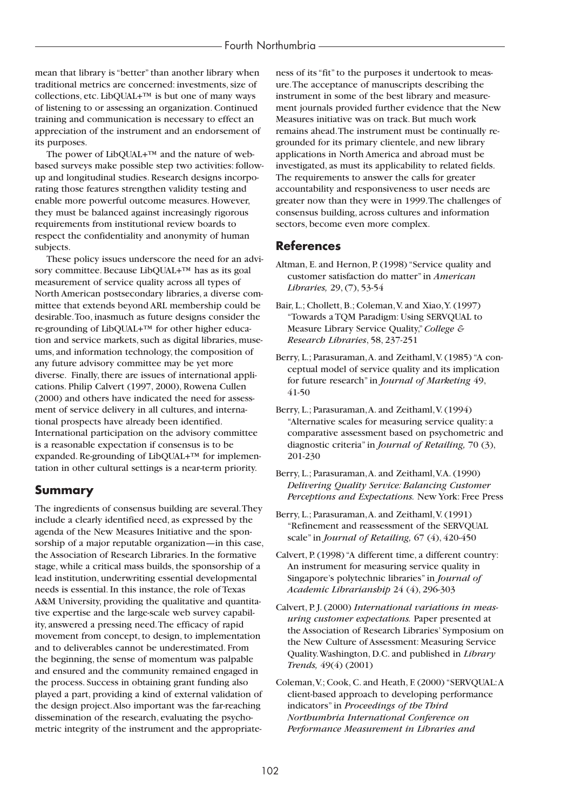mean that library is "better" than another library when traditional metrics are concerned: investments, size of collections, etc. LibQUAL+™ is but one of many ways of listening to or assessing an organization. Continued training and communication is necessary to effect an appreciation of the instrument and an endorsement of its purposes.

The power of LibQUAL+™ and the nature of webbased surveys make possible step two activities: followup and longitudinal studies. Research designs incorporating those features strengthen validity testing and enable more powerful outcome measures. However, they must be balanced against increasingly rigorous requirements from institutional review boards to respect the confidentiality and anonymity of human subjects.

These policy issues underscore the need for an advisory committee. Because LibQUAL+™ has as its goal measurement of service quality across all types of North American postsecondary libraries, a diverse committee that extends beyond ARL membership could be desirable.Too, inasmuch as future designs consider the re-grounding of LibQUAL+™ for other higher education and service markets, such as digital libraries, museums, and information technology, the composition of any future advisory committee may be yet more diverse. Finally, there are issues of international applications. Philip Calvert (1997, 2000), Rowena Cullen (2000) and others have indicated the need for assessment of service delivery in all cultures, and international prospects have already been identified. International participation on the advisory committee is a reasonable expectation if consensus is to be expanded. Re-grounding of LibQUAL+™ for implementation in other cultural settings is a near-term priority.

# **Summary**

The ingredients of consensus building are several.They include a clearly identified need, as expressed by the agenda of the New Measures Initiative and the sponsorship of a major reputable organization—in this case, the Association of Research Libraries. In the formative stage, while a critical mass builds, the sponsorship of a lead institution, underwriting essential developmental needs is essential. In this instance, the role of Texas A&M University, providing the qualitative and quantitative expertise and the large-scale web survey capability, answered a pressing need.The efficacy of rapid movement from concept, to design, to implementation and to deliverables cannot be underestimated. From the beginning, the sense of momentum was palpable and ensured and the community remained engaged in the process. Success in obtaining grant funding also played a part, providing a kind of external validation of the design project.Also important was the far-reaching dissemination of the research, evaluating the psychometric integrity of the instrument and the appropriate-

ness of its "fit" to the purposes it undertook to measure.The acceptance of manuscripts describing the instrument in some of the best library and measurement journals provided further evidence that the New Measures initiative was on track. But much work remains ahead.The instrument must be continually regrounded for its primary clientele, and new library applications in North America and abroad must be investigated, as must its applicability to related fields. The requirements to answer the calls for greater accountability and responsiveness to user needs are greater now than they were in 1999.The challenges of consensus building, across cultures and information sectors, become even more complex.

## **References**

- Altman, E. and Hernon, P. (1998) "Service quality and customer satisfaction do matter" in *American Libraries,* 29, (7), 53-54
- Bair, L.; Chollett, B.; Coleman, V. and Xiao, Y. (1997) "Towards a TQM Paradigm: Using SERVQUAL to Measure Library Service Quality,"*College & Research Libraries*, 58, 237-251
- Berry, L.; Parasuraman, A. and Zeithaml, V. (1985) "A conceptual model of service quality and its implication for future research" in *Journal of Marketing* 49, 41-50
- Berry, L.; Parasuraman, A. and Zeithaml, V. (1994) "Alternative scales for measuring service quality: a comparative assessment based on psychometric and diagnostic criteria" in *Journal of Retailing,* 70 (3), 201-230
- Berry, L.; Parasuraman, A. and Zeithaml, V.A. (1990) *Delivering Quality Service: Balancing Customer Perceptions and Expectations.* New York: Free Press
- Berry, L.; Parasuraman, A. and Zeithaml, V. (1991) "Refinement and reassessment of the SERVQUAL scale" in *Journal of Retailing,* 67 (4), 420-450
- Calvert, P. (1998) "A different time, a different country: An instrument for measuring service quality in Singapore's polytechnic libraries" in *Journal of Academic Librarianship* 24 (4), 296-303
- Calvert, P. J. (2000) *International variations in measuring customer expectations.* Paper presented at the Association of Research Libraries' Symposium on the New Culture of Assessment: Measuring Service Quality.Washington, D.C. and published in *Library Trends,* 49(4) (2001)
- Coleman,V.; Cook, C. and Heath, F. (2000) "SERVQUAL:A client-based approach to developing performance indicators" in *Proceedings of the Third Northumbria International Conference on Performance Measurement in Libraries and*